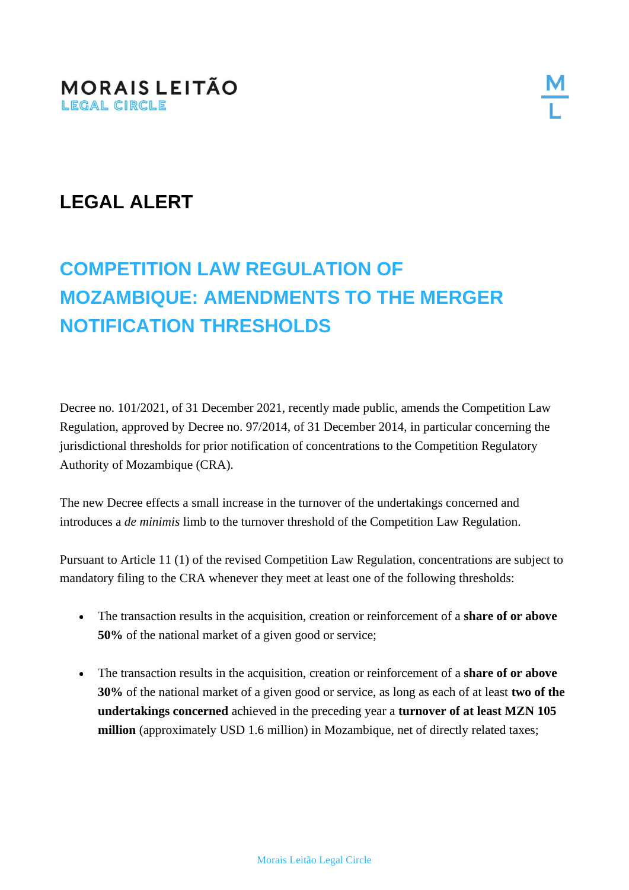## **LEGAL ALERT**

## **COMPETITION LAW REGULATION OF MOZAMBIQUE: AMENDMENTS TO THE MERGER NOTIFICATION THRESHOLDS**

Decree no. 101/2021, of 31 December 2021, recently made public, amends the Competition Law Regulation, approved by Decree no. 97/2014, of 31 December 2014, in particular concerning the jurisdictional thresholds for prior notification of concentrations to the Competition Regulatory Authority of Mozambique (CRA).

The new Decree effects a small increase in the turnover of the undertakings concerned and introduces a *de minimis* limb to the turnover threshold of the Competition Law Regulation.

Pursuant to Article 11 (1) of the revised Competition Law Regulation, concentrations are subject to mandatory filing to the CRA whenever they meet at least one of the following thresholds:

- The transaction results in the acquisition, creation or reinforcement of a **share of or above 50%** of the national market of a given good or service;
- The transaction results in the acquisition, creation or reinforcement of a **share of or above 30%** of the national market of a given good or service, as long as each of at least **two of the undertakings concerned** achieved in the preceding year a **turnover of at least MZN 105 million** (approximately USD 1.6 million) in Mozambique, net of directly related taxes;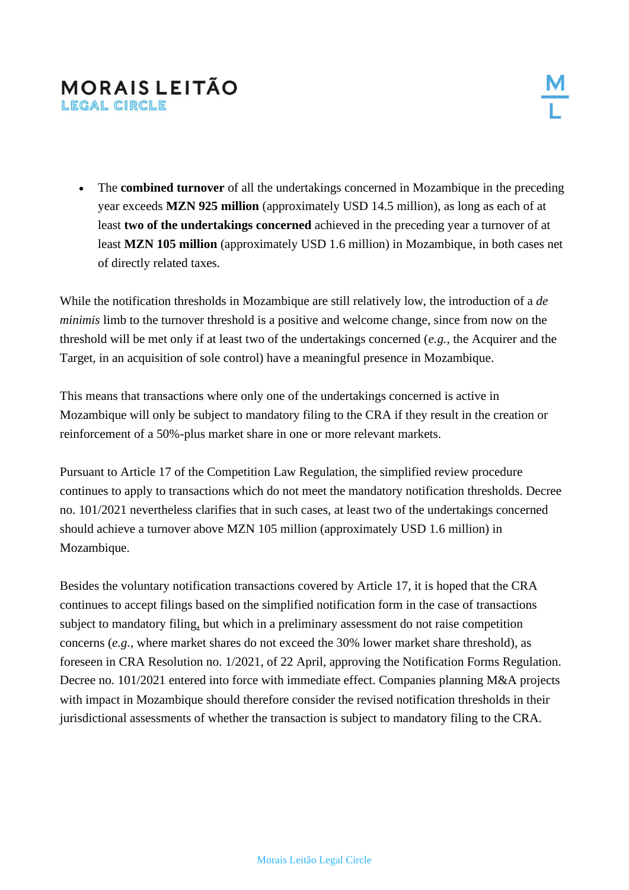## **MORAIS LEITÃO** LEGAL CIRCLE

• The **combined turnover** of all the undertakings concerned in Mozambique in the preceding year exceeds **MZN 925 million** (approximately USD 14.5 million), as long as each of at least **two of the undertakings concerned** achieved in the preceding year a turnover of at least **MZN 105 million** (approximately USD 1.6 million) in Mozambique, in both cases net of directly related taxes.

While the notification thresholds in Mozambique are still relatively low, the introduction of a *de minimis* limb to the turnover threshold is a positive and welcome change, since from now on the threshold will be met only if at least two of the undertakings concerned (*e.g.*, the Acquirer and the Target, in an acquisition of sole control) have a meaningful presence in Mozambique.

This means that transactions where only one of the undertakings concerned is active in Mozambique will only be subject to mandatory filing to the CRA if they result in the creation or reinforcement of a 50%-plus market share in one or more relevant markets.

Pursuant to Article 17 of the Competition Law Regulation, the simplified review procedure continues to apply to transactions which do not meet the mandatory notification thresholds. Decree no. 101/2021 nevertheless clarifies that in such cases, at least two of the undertakings concerned should achieve a turnover above MZN 105 million (approximately USD 1.6 million) in Mozambique.

Besides the voluntary notification transactions covered by Article 17, it is hoped that the CRA continues to accept filings based on the simplified notification form in the case of transactions subject to mandatory filing, but which in a preliminary assessment do not raise competition concerns (*e.g.*, where market shares do not exceed the 30% lower market share threshold), as foreseen in CRA Resolution no. 1/2021, of 22 April, approving the Notification Forms Regulation. Decree no. 101/2021 entered into force with immediate effect. Companies planning M&A projects with impact in Mozambique should therefore consider the revised notification thresholds in their jurisdictional assessments of whether the transaction is subject to mandatory filing to the CRA.